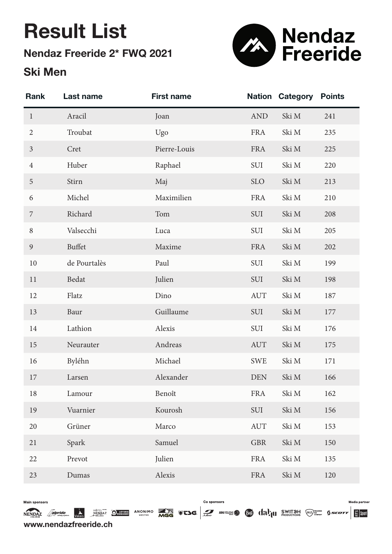# Result List

Nendaz Freeride 2\* FWQ 2021

### Ski Men



| <b>Rank</b>    | Last name     | <b>First name</b> | <b>Nation</b> | Category | <b>Points</b> |
|----------------|---------------|-------------------|---------------|----------|---------------|
| $\mathbf{1}$   | Aracil        | Joan              | <b>AND</b>    | Ski M    | 241           |
| $\overline{2}$ | Troubat       | Ugo               | <b>FRA</b>    | Ski M    | 235           |
| $\mathfrak{Z}$ | Cret          | Pierre-Louis      | <b>FRA</b>    | Ski M    | 225           |
| $\overline{4}$ | Huber         | Raphael           | SUI           | Ski M    | 220           |
| 5              | Stirn         | Maj               | <b>SLO</b>    | Ski M    | 213           |
| 6              | Michel        | Maximilien        | <b>FRA</b>    | Ski M    | 210           |
| $\overline{7}$ | Richard       | Tom               | SUI           | Ski M    | 208           |
| $\, 8$         | Valsecchi     | Luca              | SUI           | Ski M    | 205           |
| 9              | <b>Buffet</b> | Maxime            | <b>FRA</b>    | Ski M    | 202           |
| 10             | de Pourtalès  | Paul              | SUI           | Ski M    | 199           |
| 11             | Bedat         | Julien            | SUI           | Ski M    | 198           |
| 12             | Flatz         | Dino              | <b>AUT</b>    | Ski M    | 187           |
| 13             | Baur          | Guillaume         | SUI           | Ski M    | 177           |
| 14             | Lathion       | Alexis            | SUI           | Ski M    | 176           |
| 15             | Neurauter     | Andreas           | <b>AUT</b>    | Ski M    | 175           |
| 16             | Byléhn        | Michael           | <b>SWE</b>    | Ski M    | 171           |
| 17             | Larsen        | Alexander         | <b>DEN</b>    | Ski M    | 166           |
| 18             | Lamour        | Benoît            | <b>FRA</b>    | Ski M    | 162           |
| 19             | Vuarnier      | Kourosh           | <b>SUI</b>    | Ski M    | 156           |
| 20             | Grüner        | Marco             | <b>AUT</b>    | Ski M    | 153           |
| 21             | Spark         | Samuel            | <b>GBR</b>    | Ski M    | 150           |
| 22             | Prevot        | Julien            | <b>FRA</b>    | Ski M    | 135           |
| 23             | Dumas         | Alexis            | <b>FRA</b>    | Ski M    | 120           |

Main sponsors

Co sponsors

Media partne

www.nendazfreeride.ch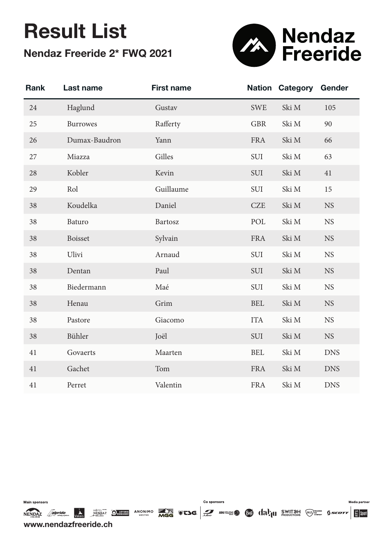# Result List Nendaz Freeride 2\* FWQ 2021



| <b>Rank</b> | Last name       | <b>First name</b> | <b>Nation</b> | Category | Gender     |
|-------------|-----------------|-------------------|---------------|----------|------------|
| 24          | Haglund         | Gustav            | <b>SWE</b>    | Ski M    | 105        |
| 25          | <b>Burrowes</b> | Rafferty          | <b>GBR</b>    | Ski M    | 90         |
| 26          | Dumax-Baudron   | Yann              | <b>FRA</b>    | Ski M    | 66         |
| 27          | Miazza          | Gilles            | SUI           | Ski M    | 63         |
| 28          | Kobler          | Kevin             | SUI           | Ski M    | 41         |
| 29          | Rol             | Guillaume         | SUI           | Ski M    | 15         |
| 38          | Koudelka        | Daniel            | <b>CZE</b>    | Ski M    | <b>NS</b>  |
| 38          | Baturo          | Bartosz           | POL           | Ski M    | <b>NS</b>  |
| 38          | <b>Boisset</b>  | Sylvain           | <b>FRA</b>    | Ski M    | <b>NS</b>  |
| 38          | Ulivi           | Arnaud            | SUI           | Ski M    | <b>NS</b>  |
| 38          | Dentan          | Paul              | SUI           | Ski M    | <b>NS</b>  |
| 38          | Biedermann      | Maé               | SUI           | Ski M    | <b>NS</b>  |
| 38          | Henau           | Grim              | <b>BEL</b>    | Ski M    | <b>NS</b>  |
| 38          | Pastore         | Giacomo           | <b>ITA</b>    | Ski M    | <b>NS</b>  |
| 38          | Bühler          | Joël              | SUI           | Ski M    | <b>NS</b>  |
| 41          | Govaerts        | Maarten           | <b>BEL</b>    | Ski M    | <b>DNS</b> |
| 41          | Gachet          | Tom               | <b>FRA</b>    | Ski M    | <b>DNS</b> |
| 41          | Perret          | Valentin          | <b>FRA</b>    | Ski M    | <b>DNS</b> |

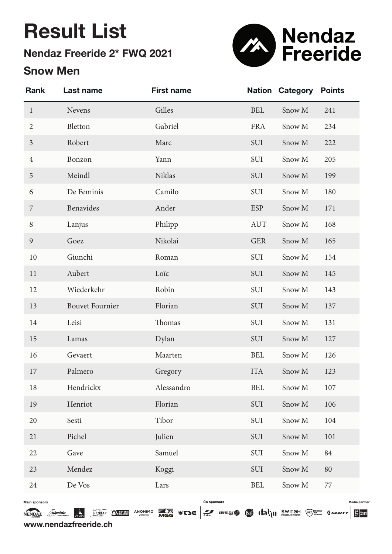# Result List

## Nendaz Freeride 2\* FWQ 2021

### Snow Men



| <b>Rank</b>          | Last name              | <b>First name</b> | <b>Nation</b> | <b>Category</b> | <b>Points</b> |
|----------------------|------------------------|-------------------|---------------|-----------------|---------------|
| $\mathbf{1}$         | Nevens                 | Gilles            | <b>BEL</b>    | Snow M          | 241           |
| $\overline{2}$       | Bletton                | Gabriel           | <b>FRA</b>    | Snow M          | 234           |
| $\mathfrak{Z}$       | Robert                 | Marc              | SUI           | Snow M          | 222           |
| $\overline{4}$       | Bonzon                 | Yann              | SUI           | Snow M          | 205           |
| $\overline{5}$       | Meindl                 | <b>Niklas</b>     | SUI           | Snow M          | 199           |
| 6                    | De Feminis             | Camilo            | SUI           | Snow M          | 180           |
| 7                    | Benavides              | Ander             | <b>ESP</b>    | Snow M          | 171           |
| $\, 8$               | Lanjus                 | Philipp           | <b>AUT</b>    | Snow M          | 168           |
| $\mathfrak{g}$       | Goez                   | Nikolai           | <b>GER</b>    | Snow M          | 165           |
| 10                   | Giunchi                | Roman             | SUI           | Snow M          | 154           |
| 11                   | Aubert                 | Loïc              | SUI           | Snow M          | 145           |
| 12                   | Wiederkehr             | Robin             | SUI           | Snow M          | 143           |
| 13                   | <b>Bouvet Fournier</b> | Florian           | SUI           | Snow M          | 137           |
| 14                   | Leisi                  | Thomas            | SUI           | Snow M          | 131           |
| 15                   | Lamas                  | Dylan             | SUI           | Snow M          | 127           |
| 16                   | Gevaert                | Maarten           | <b>BEL</b>    | Snow M          | 126           |
| 17                   | Palmero                | Gregory           | <b>ITA</b>    | Snow M          | 123           |
| 18                   | Hendrickx              | Alessandro        | <b>BEL</b>    | Snow M          | 107           |
| 19                   | Henriot                | Florian           | SUI           | Snow M          | 106           |
| 20                   | Sesti                  | Tibor             | SUI           | Snow M          | 104           |
| 21                   | Pichel                 | Julien            | SUI           | Snow M          | 101           |
| 22                   | Gave                   | Samuel            | SUI           | Snow M          | 84            |
| 23                   | Mendez                 | Koggi             | SUI           | Snow M          | 80            |
| 24                   | De Vos                 | Lars              | <b>BEL</b>    | Snow M          | $77\,$        |
| <b>Main sponsors</b> |                        | Co sponsors       |               |                 | Media p       |

NENDAZ Asipride Walais Nendaz Organis ANONIMO **ANTERNATION CONTRACTEDED** SECTELEDS ON CONTRACTED SWITCH GENETIC STREET ESTIMATED www.nendazfreeride.ch